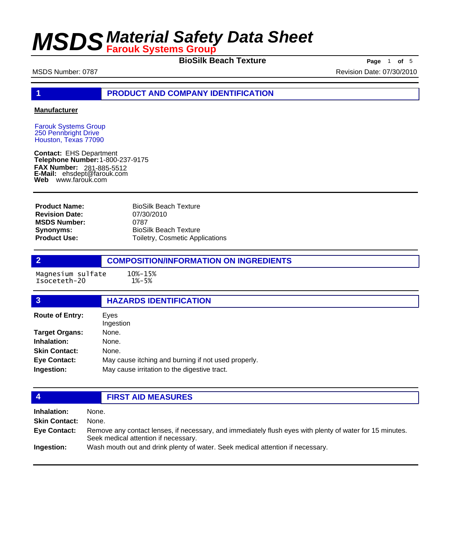**BioSilk Beach Texture Page** 1 of 5

MSDS Number: 0787 Revision Date: 07/30/2010

**1 PRODUCT AND COMPANY IDENTIFICATION**

### **Manufacturer**

Farouk Systems Group 250 Pennbright Drive Houston, Texas 77090

**Contact:** EHS Department **Telephone Number:** 1-800-237-9175 **FAX Number: FAX Number:** 281-885-5512<br>**E-Mail:** ehsdept@farouk.com **Web** www.farouk.com

BioSilk Beach Texture 07/30/2010 0787 BioSilk Beach Texture Toiletry, Cosmetic Applications **Product Name: Revision Date: MSDS Number: Synonyms: Product Use:**

**2 COMPOSITION/INFORMATION ON INGREDIENTS**

Magnesium sulfate 10%-15%<br>Isoceteth-20 1%-5% Isoceteth-20

## **3 HAZARDS IDENTIFICATION**

| <b>Route of Entry:</b> | Eves<br>Ingestion                                   |  |  |
|------------------------|-----------------------------------------------------|--|--|
| <b>Target Organs:</b>  | None.                                               |  |  |
| Inhalation:            | None.                                               |  |  |
| <b>Skin Contact:</b>   | None.                                               |  |  |
| <b>Eye Contact:</b>    | May cause itching and burning if not used properly. |  |  |
| Ingestion:             | May cause irritation to the digestive tract.        |  |  |

## **4 FIRST AID MEASURES**

| <b>Inhalation:</b>   | None.                                                                                                                                            |
|----------------------|--------------------------------------------------------------------------------------------------------------------------------------------------|
| <b>Skin Contact:</b> | None.                                                                                                                                            |
| Eye Contact:         | Remove any contact lenses, if necessary, and immediately flush eyes with plenty of water for 15 minutes.<br>Seek medical attention if necessary. |
| Ingestion:           | Wash mouth out and drink plenty of water. Seek medical attention if necessary.                                                                   |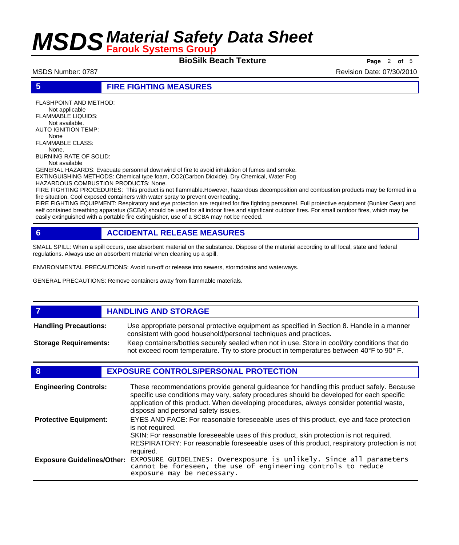**BioSilk Beach Texture Page** <sup>2</sup> **of** <sup>5</sup>

MSDS Number: 0787 Revision Date: 07/30/2010

**5 FIRE FIGHTING MEASURES**

FLASHPOINT AND METHOD: Not applicable FLAMMABLE LIQUIDS: Not available. AUTO IGNITION TEMP: None FLAMMABLE CLASS: None. BURNING RATE OF SOLID: Not available

GENERAL HAZARDS: Evacuate personnel downwind of fire to avoid inhalation of fumes and smoke. EXTINGUISHING METHODS: Chemical type foam, CO2(Carbon Dioxide), Dry Chemical, Water Fog

HAZARDOUS COMBUSTION PRODUCTS: None. FIRE FIGHTING PROCEDURES: This product is not flammable.However, hazardous decomposition and combustion products may be formed in a fire situation. Cool exposed containers with water spray to prevent overheating.

FIRE FIGHTING EQUIPMENT: Respiratory and eye protection are required for fire fighting personnel. Full protective equipment (Bunker Gear) and self contained breathing apparatus (SCBA) should be used for all indoor fires and significant outdoor fires. For small outdoor fires, which may be easily extinguished with a portable fire extinguisher, use of a SCBA may not be needed.

## **6 ACCIDENTAL RELEASE MEASURES**

SMALL SPILL: When a spill occurs, use absorbent material on the substance. Dispose of the material according to all local, state and federal regulations. Always use an absorbent material when cleaning up a spill.

ENVIRONMENTAL PRECAUTIONS: Avoid run-off or release into sewers, stormdrains and waterways.

GENERAL PRECAUTIONS: Remove containers away from flammable materials.

### *HANDLING AND STORAGE* Use appropriate personal protective equipment as specified in Section 8. Handle in a manner consistent with good household/personal techniques and practices. **Handling Precautions:** Keep containers/bottles securely sealed when not in use. Store in cool/dry conditions that do not exceed room temperature. Try to store product in temperatures between 40°F to 90° F. **Storage Requirements:**

## **8 EXPOSURE CONTROLS/PERSONAL PROTECTION**

| <b>Engineering Controls:</b>      | These recommendations provide general guideance for handling this product safely. Because<br>specific use conditions may vary, safety procedures should be developed for each specific<br>application of this product. When developing procedures, always consider potential waste,<br>disposal and personal safety issues. |
|-----------------------------------|-----------------------------------------------------------------------------------------------------------------------------------------------------------------------------------------------------------------------------------------------------------------------------------------------------------------------------|
| <b>Protective Equipment:</b>      | EYES AND FACE: For reasonable foreseeable uses of this product, eye and face protection<br>is not required.<br>SKIN: For reasonable foreseeable uses of this product, skin protection is not required.<br>RESPIRATORY: For reasonable foreseeable uses of this product, respiratory protection is not<br>required.          |
| <b>Exposure Guidelines/Other:</b> | EXPOSURE GUIDELINES: Overexposure is unlikely. Since all parameters cannot be foreseen, the use of engineering controls to reduce<br>exposure may be necessary.                                                                                                                                                             |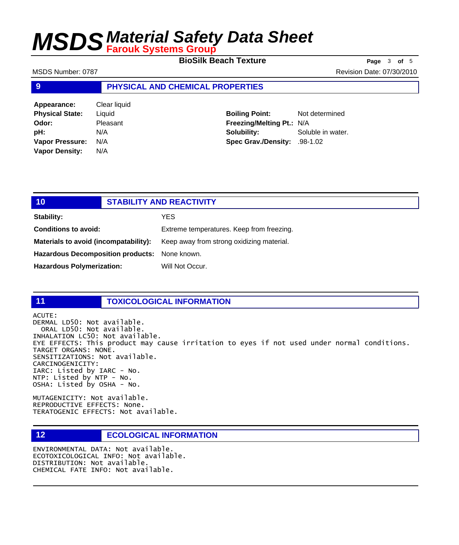**BioSilk Beach Texture Page** <sup>3</sup> **of** <sup>5</sup>

MSDS Number: 0787 Revision Date: 07/30/2010

### **9 PHYSICAL AND CHEMICAL PROPERTIES**

| Appearance:            | Clear liquid |  |
|------------------------|--------------|--|
| <b>Physical State:</b> | Liquid       |  |
| Odor:                  | Pleasant     |  |
| pH:                    | N/A          |  |
| Vapor Pressure:        | N/A          |  |
| <b>Vapor Density:</b>  | N/A          |  |

**Boiling Point:** Not determined **Freezing/Melting Pt.:** N/A **Solubility:** Soluble in water. **Spec Grav./Density:** .98-1.02

## **10 STABILITY AND REACTIVITY Stability:** YES **Conditions to avoid:** Extreme temperatures. Keep from freezing. Materials to avoid (incompatability): Keep away from strong oxidizing material. **Hazardous Decomposition products:** None known. Hazardous Polymerization: Will Not Occur.

### **11 TOXICOLOGICAL INFORMATION**

ACUTE:

DERMAL LD50: Not available. ORAL LD50: Not available. INHALATION LC50: Not available. EYE EFFECTS: This product may cause irritation to eyes if not used under normal conditions. TARGET ORGANS: NONE. SENSITIZATIONS: Not available. CARCINOGENICITY: IARC: Listed by IARC - No. NTP: Listed by NTP - No. OSHA: Listed by OSHA - No.

MUTAGENICITY: Not available. REPRODUCTIVE EFFECTS: None. TERATOGENIC EFFECTS: Not available.

## **12 ECOLOGICAL INFORMATION**

ENVIRONMENTAL DATA: Not available. ECOTOXICOLOGICAL INFO: Not available. DISTRIBUTION: Not available. CHEMICAL FATE INFO: Not available.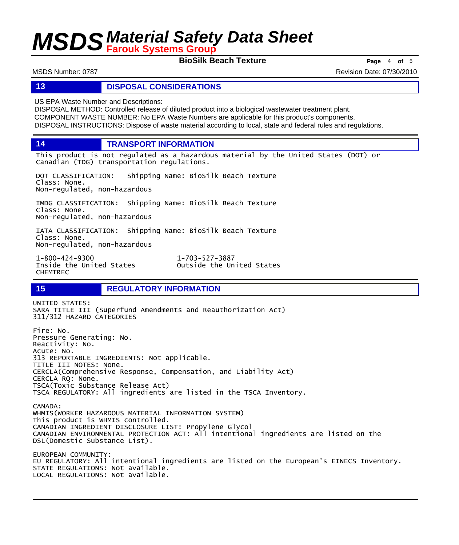**BioSilk Beach Texture Page** <sup>4</sup> **of** <sup>5</sup>

MSDS Number: 0787 Revision Date: 07/30/2010

### **13 DISPOSAL CONSIDERATIONS**

US EPA Waste Number and Descriptions:

DISPOSAL METHOD: Controlled release of diluted product into a biological wastewater treatment plant. COMPONENT WASTE NUMBER: No EPA Waste Numbers are applicable for this product's components. DISPOSAL INSTRUCTIONS: Dispose of waste material according to local, state and federal rules and regulations.

**14 TRANSPORT INFORMATION**

This product is not regulated as a hazardous material by the United States (DOT) or Canadian (TDG) transportation regulations.

DOT CLASSIFICATION: Shipping Name: BioSilk Beach Texture Class: None. Non-regulated, non-hazardous

IMDG CLASSIFICATION: Shipping Name: BioSilk Beach Texture Class: None. Non-regulated, non-hazardous

IATA CLASSIFICATION: Shipping Name: BioSilk Beach Texture Class: None. Non-regulated, non-hazardous

1-800-424-9300 1-703-527-3887 CHEMTREC

Outside the United States

## **15 REGULATORY INFORMATION**

UNITED STATES: SARA TITLE III (Superfund Amendments and Reauthorization Act) 311/312 HAZARD CATEGORIES Fire: No. Pressure Generating: No. Reactivity: No. Acute: No. 313 REPORTABLE INGREDIENTS: Not applicable. TITLE III NOTES: None. CERCLA(Comprehensive Response, Compensation, and Liability Act) CERCLA RQ: None. TSCA(Toxic Substance Release Act) TSCA REGULATORY: All ingredients are listed in the TSCA Inventory. CANADA: WHMIS(WORKER HAZARDOUS MATERIAL INFORMATION SYSTEM) This product is WHMIS controlled. CANADIAN INGREDIENT DISCLOSURE LIST: Propylene Glycol CANADIAN ENVIRONMENTAL PROTECTION ACT: All intentional ingredients are listed on the DSL(Domestic Substance List). EUROPEAN COMMUNITY: EU REGULATORY: All intentional ingredients are listed on the European's EINECS Inventory. STATE REGULATIONS: Not available. LOCAL REGULATIONS: Not available.